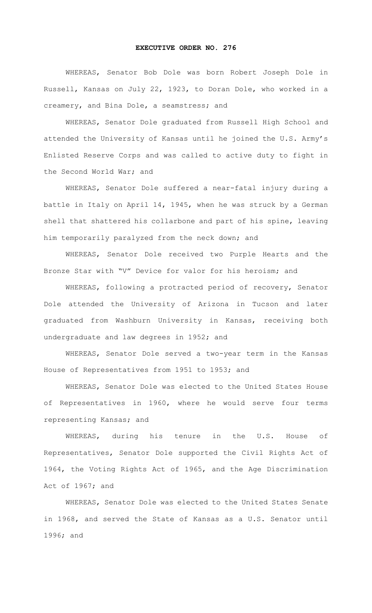## **EXECUTIVE ORDER NO. 276**

WHEREAS, Senator Bob Dole was born Robert Joseph Dole in Russell, Kansas on July 22, 1923, to Doran Dole, who worked in a creamery, and Bina Dole, a seamstress; and

WHEREAS, Senator Dole graduated from Russell High School and attended the University of Kansas until he joined the U.S. Army's Enlisted Reserve Corps and was called to active duty to fight in the Second World War; and

WHEREAS, Senator Dole suffered a near-fatal injury during a battle in Italy on April 14, 1945, when he was struck by a German shell that shattered his collarbone and part of his spine, leaving him temporarily paralyzed from the neck down; and

WHEREAS, Senator Dole received two Purple Hearts and the Bronze Star with "V" Device for valor for his heroism; and

WHEREAS, following a protracted period of recovery, Senator Dole attended the University of Arizona in Tucson and later graduated from Washburn University in Kansas, receiving both undergraduate and law degrees in 1952; and

WHEREAS, Senator Dole served a two-year term in the Kansas House of Representatives from 1951 to 1953; and

WHEREAS, Senator Dole was elected to the United States House of Representatives in 1960, where he would serve four terms representing Kansas; and

WHEREAS, during his tenure in the U.S. House of Representatives, Senator Dole supported the Civil Rights Act of 1964, the Voting Rights Act of 1965, and the Age Discrimination Act of 1967; and

WHEREAS, Senator Dole was elected to the United States Senate in 1968, and served the State of Kansas as a U.S. Senator until 1996; and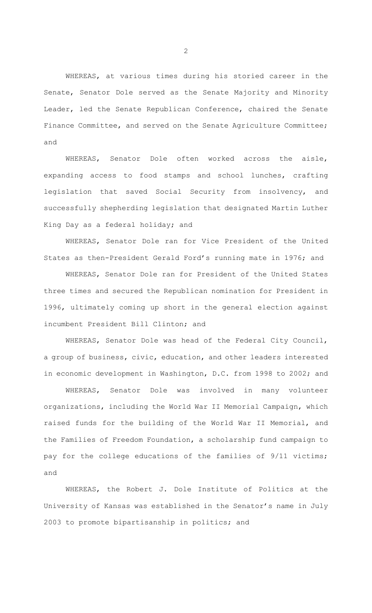WHEREAS, at various times during his storied career in the Senate, Senator Dole served as the Senate Majority and Minority Leader, led the Senate Republican Conference, chaired the Senate Finance Committee, and served on the Senate Agriculture Committee; and

WHEREAS, Senator Dole often worked across the aisle, expanding access to food stamps and school lunches, crafting legislation that saved Social Security from insolvency, and successfully shepherding legislation that designated Martin Luther King Day as a federal holiday; and

WHEREAS, Senator Dole ran for Vice President of the United States as then-President Gerald Ford's running mate in 1976; and

WHEREAS, Senator Dole ran for President of the United States three times and secured the Republican nomination for President in 1996, ultimately coming up short in the general election against incumbent President Bill Clinton; and

WHEREAS, Senator Dole was head of the Federal City Council, a group of business, civic, education, and other leaders interested in economic development in Washington, D.C. from 1998 to 2002; and

WHEREAS, Senator Dole was involved in many volunteer organizations, including the World War II Memorial Campaign, which raised funds for the building of the World War II Memorial, and the Families of Freedom Foundation, a scholarship fund campaign to pay for the college educations of the families of 9/11 victims; and

WHEREAS, the Robert J. Dole Institute of Politics at the University of Kansas was established in the Senator's name in July 2003 to promote bipartisanship in politics; and

2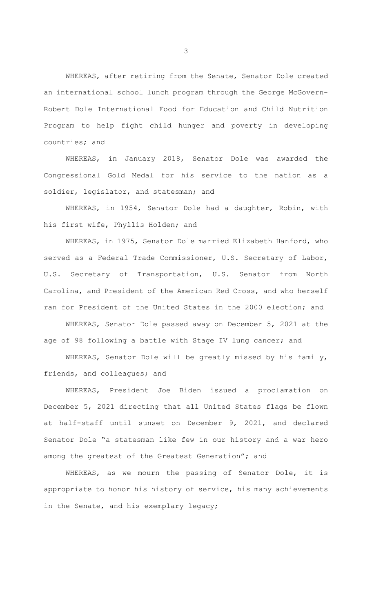WHEREAS, after retiring from the Senate, Senator Dole created an international school lunch program through the George McGovern-Robert Dole International Food for Education and Child Nutrition Program to help fight child hunger and poverty in developing countries; and

WHEREAS, in January 2018, Senator Dole was awarded the Congressional Gold Medal for his service to the nation as a soldier, legislator, and statesman; and

WHEREAS, in 1954, Senator Dole had a daughter, Robin, with his first wife, Phyllis Holden; and

WHEREAS, in 1975, Senator Dole married Elizabeth Hanford, who served as a Federal Trade Commissioner, U.S. Secretary of Labor, U.S. Secretary of Transportation, U.S. Senator from North Carolina, and President of the American Red Cross, and who herself ran for President of the United States in the 2000 election; and

WHEREAS, Senator Dole passed away on December 5, 2021 at the age of 98 following a battle with Stage IV lung cancer; and

WHEREAS, Senator Dole will be greatly missed by his family, friends, and colleagues; and

WHEREAS, President Joe Biden issued a proclamation on December 5, 2021 directing that all United States flags be flown at half-staff until sunset on December 9, 2021, and declared Senator Dole "a statesman like few in our history and a war hero among the greatest of the Greatest Generation"; and

 WHEREAS, as we mourn the passing of Senator Dole, it is appropriate to honor his history of service, his many achievements in the Senate, and his exemplary legacy;

3